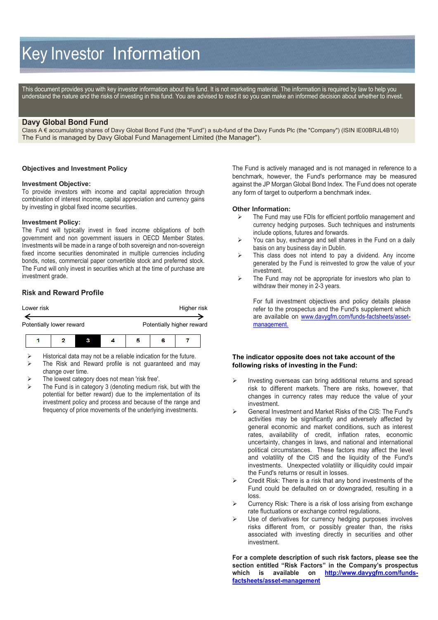# Key Investor Information

This document provides you with key investor information about this fund. It is not marketing material. The information is required by law to help you understand the nature and the risks of investing in this fund. You are advised to read it so you can make an informed decision about whether to invest.

# **Davy Global Bond Fund**

Class A € accumulating shares of Davy Global Bond Fund (the "Fund") a sub-fund of the Davy Funds Plc (the "Company") (ISIN IE00BRJL4B10) The Fund is managed by Davy Global Fund Management Limited (the Manager").

## **Objectives and Investment Policy**

## **Investment Objective:**

To provide investors with income and capital appreciation through combination of interest income, capital appreciation and currency gains by investing in global fixed income securities.

## **Investment Policy:**

The Fund will typically invest in fixed income obligations of both government and non government issuers in OECD Member States. Investments will be made in a range of both sovereign and non-sovereign fixed income securities denominated in multiple currencies including bonds, notes, commercial paper convertible stock and preferred stock. The Fund will only invest in securities which at the time of purchase are investment grade.

## **Risk and Reward Profile**





- $\triangleright$  Historical data may not be a reliable indication for the future.
- $\triangleright$  The Risk and Reward profile is not quaranteed and may change over time.
- The lowest category does not mean 'risk free'.
- The Fund is in category 3 (denoting medium risk, but with the potential for better reward) due to the implementation of its investment policy and process and because of the range and frequency of price movements of the underlying investments.

The Fund is actively managed and is not managed in reference to a benchmark, however, the Fund's performance may be measured against the JP Morgan Global Bond Index. The Fund does not operate any form of target to outperform a benchmark index.

## **Other Information:**

- The Fund may use FDIs for efficient portfolio management and currency hedging purposes. Such techniques and instruments include options, futures and forwards.
- $\triangleright$  You can buy, exchange and sell shares in the Fund on a daily basis on any business day in Dublin.
- $\triangleright$  This class does not intend to pay a dividend. Any income generated by the Fund is reinvested to grow the value of your investment.
- $\triangleright$  The Fund may not be appropriate for investors who plan to withdraw their money in 2-3 years.

For full investment objectives and policy details please refer to the prospectus and the Fund's supplement which are available on [www.davygfm.com/funds-factsheets/asset](http://www.davygfm.com/funds-factsheets/asset-management.)[management.](http://www.davygfm.com/funds-factsheets/asset-management.)

## **The indicator opposite does not take account of the following risks of investing in the Fund:**

- Investing overseas can bring additional returns and spread risk to different markets. There are risks, however, that changes in currency rates may reduce the value of your investment.
- General Investment and Market Risks of the CIS: The Fund's activities may be significantly and adversely affected by general economic and market conditions, such as interest rates, availability of credit, inflation rates, economic uncertainty, changes in laws, and national and international political circumstances. These factors may affect the level and volatility of the CIS and the liquidity of the Fund's investments. Unexpected volatility or illiquidity could impair the Fund's returns or result in losses.
- Credit Risk: There is a risk that any bond investments of the Fund could be defaulted on or downgraded, resulting in a loss.
- Currency Risk: There is a risk of loss arising from exchange rate fluctuations or exchange control regulations.
- Use of derivatives for currency hedging purposes involves risks different from, or possibly greater than, the risks associated with investing directly in securities and other investment.

**For a complete description of such risk factors, please see the section entitled "Risk Factors" in the Company's prospectus which is available on [http://www.davygfm.com/funds](http://www.davygfm.com/funds-factsheets/asset-management)[factsheets/asset-management](http://www.davygfm.com/funds-factsheets/asset-management)**